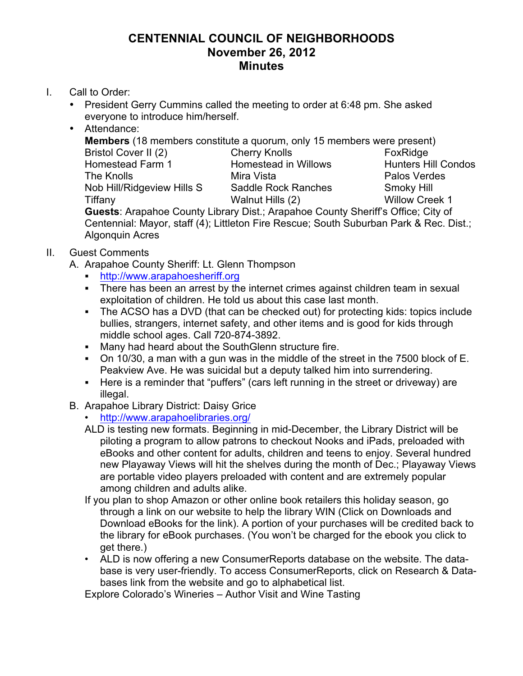## **CENTENNIAL COUNCIL OF NEIGHBORHOODS November 26, 2012 Minutes**

- I. Call to Order:
	- President Gerry Cummins called the meeting to order at 6:48 pm. She asked everyone to introduce him/herself.
	- Attendance:

**Members** (18 members constitute a quorum, only 15 members were present) Bristol Cover II (2) Cherry Knolls FoxRidge Homestead Farm 1 **Homestead in Willows** Hunters Hill Condos The Knolls **Example 2** Mira Vista **Palos Verdes** Nob Hill/Ridgeview Hills S Saddle Rock Ranches Smoky Hill Tiffany Walnut Hills (2) Willow Creek 1 **Guests**: Arapahoe County Library Dist.; Arapahoe County Sheriff's Office; City of Centennial: Mayor, staff (4); Littleton Fire Rescue; South Suburban Park & Rec. Dist.; Algonquin Acres

- II. Guest Comments
	- A. Arapahoe County Sheriff: Lt. Glenn Thompson
		- ! http://www.arapahoesheriff.org
		- ! There has been an arrest by the internet crimes against children team in sexual exploitation of children. He told us about this case last month.
		- ! The ACSO has a DVD (that can be checked out) for protecting kids: topics include bullies, strangers, internet safety, and other items and is good for kids through middle school ages. Call 720-874-3892.
		- ! Many had heard about the SouthGlenn structure fire.
		- ! On 10/30, a man with a gun was in the middle of the street in the 7500 block of E. Peakview Ave. He was suicidal but a deputy talked him into surrendering.
		- ! Here is a reminder that "puffers" (cars left running in the street or driveway) are illegal.
	- B. Arapahoe Library District: Daisy Grice
		- http://www.arapahoelibraries.org/
		- ALD is testing new formats. Beginning in mid-December, the Library District will be piloting a program to allow patrons to checkout Nooks and iPads, preloaded with eBooks and other content for adults, children and teens to enjoy. Several hundred new Playaway Views will hit the shelves during the month of Dec.; Playaway Views are portable video players preloaded with content and are extremely popular among children and adults alike.
		- If you plan to shop Amazon or other online book retailers this holiday season, go through a link on our website to help the library WIN (Click on Downloads and Download eBooks for the link). A portion of your purchases will be credited back to the library for eBook purchases. (You won't be charged for the ebook you click to get there.)
		- ALD is now offering a new ConsumerReports database on the website. The database is very user-friendly. To access ConsumerReports, click on Research & Databases link from the website and go to alphabetical list.

Explore Colorado's Wineries – Author Visit and Wine Tasting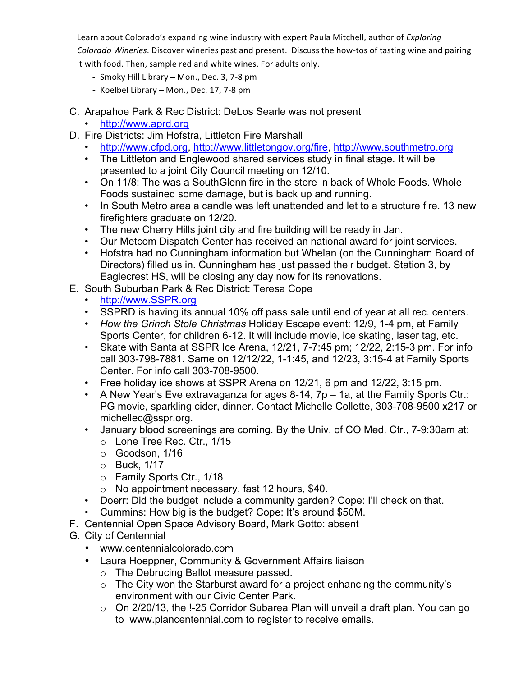Learn about Colorado's expanding wine industry with expert Paula Mitchell, author of Exploring Colorado Wineries. Discover wineries past and present. Discuss the how-tos of tasting wine and pairing it with food. Then, sample red and white wines. For adults only.

- Smoky Hill Library Mon., Dec. 3, 7-8 pm
- Koelbel Library Mon., Dec. 17, 7-8 pm
- C. Arapahoe Park & Rec District: DeLos Searle was not present

## • http://www.aprd.org

- D. Fire Districts: Jim Hofstra, Littleton Fire Marshall
	- http://www.cfpd.org, http://www.littletongov.org/fire, http://www.southmetro.org
	- The Littleton and Englewood shared services study in final stage. It will be presented to a joint City Council meeting on 12/10.
	- On 11/8: The was a SouthGlenn fire in the store in back of Whole Foods. Whole Foods sustained some damage, but is back up and running.
	- In South Metro area a candle was left unattended and let to a structure fire. 13 new firefighters graduate on 12/20.
	- The new Cherry Hills joint city and fire building will be ready in Jan.
	- Our Metcom Dispatch Center has received an national award for joint services.
	- Hofstra had no Cunningham information but Whelan (on the Cunningham Board of Directors) filled us in. Cunningham has just passed their budget. Station 3, by Eaglecrest HS, will be closing any day now for its renovations.
- E. South Suburban Park & Rec District: Teresa Cope
	- http://www.SSPR.org
	- SSPRD is having its annual 10% off pass sale until end of year at all rec. centers.
	- *How the Grinch Stole Christmas* Holiday Escape event: 12/9, 1-4 pm, at Family Sports Center, for children 6-12. It will include movie, ice skating, laser tag, etc.
	- Skate with Santa at SSPR Ice Arena, 12/21, 7-7:45 pm; 12/22, 2:15-3 pm. For info call 303-798-7881. Same on 12/12/22, 1-1:45, and 12/23, 3:15-4 at Family Sports Center. For info call 303-708-9500.
	- Free holiday ice shows at SSPR Arena on 12/21, 6 pm and 12/22, 3:15 pm.
	- A New Year's Eve extravaganza for ages 8-14, 7p 1a, at the Family Sports Ctr.: PG movie, sparkling cider, dinner. Contact Michelle Collette, 303-708-9500 x217 or michellec@sspr.org.
	- January blood screenings are coming. By the Univ. of CO Med. Ctr., 7-9:30am at:
		- o Lone Tree Rec. Ctr., 1/15
		- o Goodson, 1/16
		- o Buck, 1/17
		- o Family Sports Ctr., 1/18
		- o No appointment necessary, fast 12 hours, \$40.
	- Doerr: Did the budget include a community garden? Cope: I'll check on that.
	- Cummins: How big is the budget? Cope: It's around \$50M.
- F. Centennial Open Space Advisory Board, Mark Gotto: absent
- G. City of Centennial
	- www.centennialcolorado.com
	- Laura Hoeppner, Community & Government Affairs liaison
		- o The Debrucing Ballot measure passed.
		- o The City won the Starburst award for a project enhancing the community's environment with our Civic Center Park.
		- o On 2/20/13, the !-25 Corridor Subarea Plan will unveil a draft plan. You can go to www.plancentennial.com to register to receive emails.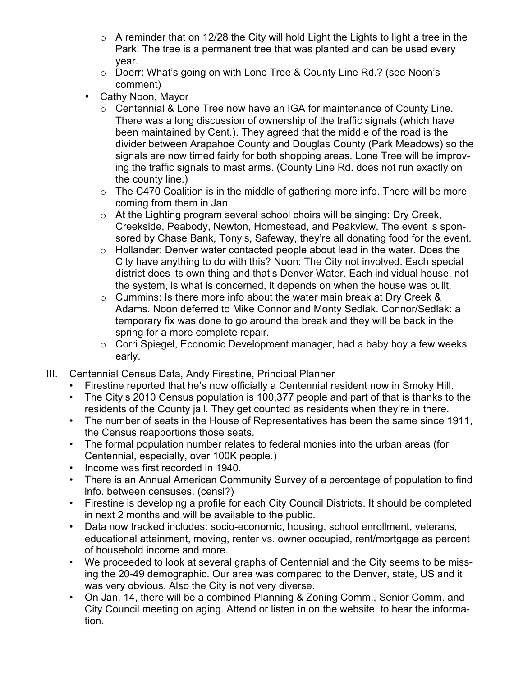- $\circ$  A reminder that on 12/28 the City will hold Light the Lights to light a tree in the Park. The tree is a permanent tree that was planted and can be used every year.
- o Doerr: What's going on with Lone Tree & County Line Rd.? (see Noon's comment)
- Cathy Noon, Mayor
	- o Centennial & Lone Tree now have an IGA for maintenance of County Line. There was a long discussion of ownership of the traffic signals (which have been maintained by Cent.). They agreed that the middle of the road is the divider between Arapahoe County and Douglas County (Park Meadows) so the signals are now timed fairly for both shopping areas. Lone Tree will be improving the traffic signals to mast arms. (County Line Rd. does not run exactly on the county line.)
	- $\circ$  The C470 Coalition is in the middle of gathering more info. There will be more coming from them in Jan.
	- o At the Lighting program several school choirs will be singing: Dry Creek, Creekside, Peabody, Newton, Homestead, and Peakview, The event is sponsored by Chase Bank, Tony's, Safeway, they're all donating food for the event.
	- o Hollander: Denver water contacted people about lead in the water. Does the City have anything to do with this? Noon: The City not involved. Each special district does its own thing and that's Denver Water. Each individual house, not the system, is what is concerned, it depends on when the house was built.
	- o Cummins: Is there more info about the water main break at Dry Creek & Adams. Noon deferred to Mike Connor and Monty Sedlak. Connor/Sedlak: a temporary fix was done to go around the break and they will be back in the spring for a more complete repair.
	- o Corri Spiegel, Economic Development manager, had a baby boy a few weeks early.
- III. Centennial Census Data, Andy Firestine, Principal Planner
	- Firestine reported that he's now officially a Centennial resident now in Smoky Hill.
	- The City's 2010 Census population is 100,377 people and part of that is thanks to the residents of the County jail. They get counted as residents when they're in there.
	- The number of seats in the House of Representatives has been the same since 1911, the Census reapportions those seats.
	- The formal population number relates to federal monies into the urban areas (for Centennial, especially, over 100K people.)
	- Income was first recorded in 1940.
	- There is an Annual American Community Survey of a percentage of population to find info. between censuses. (censi?)
	- Firestine is developing a profile for each City Council Districts. It should be completed in next 2 months and will be available to the public.
	- Data now tracked includes: socio-economic, housing, school enrollment, veterans, educational attainment, moving, renter vs. owner occupied, rent/mortgage as percent of household income and more.
	- We proceeded to look at several graphs of Centennial and the City seems to be missing the 20-49 demographic. Our area was compared to the Denver, state, US and it was very obvious. Also the City is not very diverse.
	- On Jan. 14, there will be a combined Planning & Zoning Comm., Senior Comm. and City Council meeting on aging. Attend or listen in on the website to hear the information.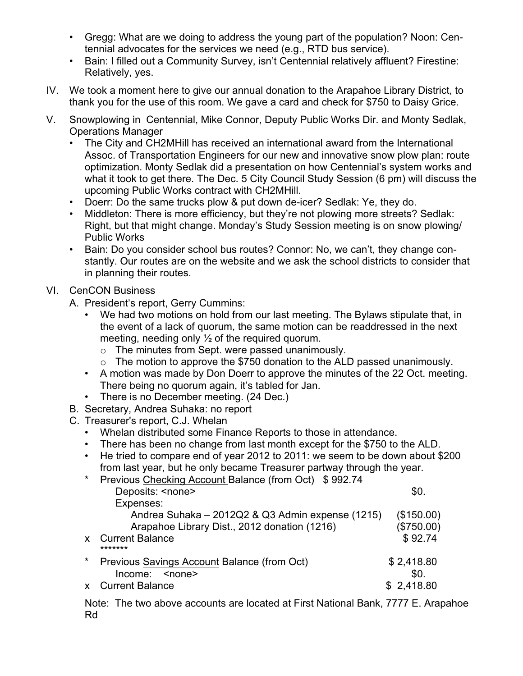- Gregg: What are we doing to address the young part of the population? Noon: Centennial advocates for the services we need (e.g., RTD bus service).
- Bain: I filled out a Community Survey, isn't Centennial relatively affluent? Firestine: Relatively, yes.
- IV. We took a moment here to give our annual donation to the Arapahoe Library District, to thank you for the use of this room. We gave a card and check for \$750 to Daisy Grice.
- V. Snowplowing in Centennial, Mike Connor, Deputy Public Works Dir. and Monty Sedlak, Operations Manager
	- The City and CH2MHill has received an international award from the International Assoc. of Transportation Engineers for our new and innovative snow plow plan: route optimization. Monty Sedlak did a presentation on how Centennial's system works and what it took to get there. The Dec. 5 City Council Study Session (6 pm) will discuss the upcoming Public Works contract with CH2MHill.
	- Doerr: Do the same trucks plow & put down de-icer? Sedlak: Ye, they do.
	- Middleton: There is more efficiency, but they're not plowing more streets? Sedlak: Right, but that might change. Monday's Study Session meeting is on snow plowing/ Public Works
	- Bain: Do you consider school bus routes? Connor: No, we can't, they change constantly. Our routes are on the website and we ask the school districts to consider that in planning their routes.
- VI. CenCON Business
	- A. President's report, Gerry Cummins:
		- We had two motions on hold from our last meeting. The Bylaws stipulate that, in the event of a lack of quorum, the same motion can be readdressed in the next meeting, needing only  $\frac{1}{2}$  of the required quorum.
			- o The minutes from Sept. were passed unanimously.
			- o The motion to approve the \$750 donation to the ALD passed unanimously.
		- A motion was made by Don Doerr to approve the minutes of the 22 Oct. meeting. There being no quorum again, it's tabled for Jan.
		- There is no December meeting. (24 Dec.)
	- B. Secretary, Andrea Suhaka: no report
	- C. Treasurer's report, C.J. Whelan
		- Whelan distributed some Finance Reports to those in attendance.
		- There has been no change from last month except for the \$750 to the ALD.
		- He tried to compare end of year 2012 to 2011: we seem to be down about \$200 from last year, but he only became Treasurer partway through the year.

| $\star$ | Previous Checking Account Balance (from Oct) \$992.74 |            |
|---------|-------------------------------------------------------|------------|
|         | Deposits: <none></none>                               | \$0.       |
|         | Expenses:                                             |            |
|         | Andrea Suhaka - 2012Q2 & Q3 Admin expense (1215)      | (\$150.00) |
|         | Arapahoe Library Dist., 2012 donation (1216)          | (\$750.00) |
|         | x Current Balance<br>*******                          | \$92.74    |
| $\star$ | Previous Savings Account Balance (from Oct)           | \$2,418.80 |
|         | Income: <none></none>                                 | \$0.       |
|         | x Current Balance                                     | \$2,418.80 |

Note: The two above accounts are located at First National Bank, 7777 E. Arapahoe Rd